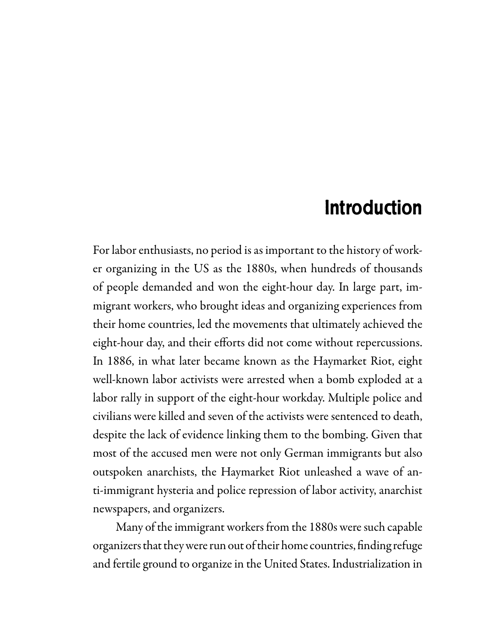# introduction

For labor enthusiasts, no period is as important to the history of worker organizing in the US as the 1880s, when hundreds of thousands of people demanded and won the eight-hour day. In large part, immigrant workers, who brought ideas and organizing experiences from their home countries, led the movements that ultimately achieved the eight-hour day, and their efforts did not come without repercussions. In 1886, in what later became known as the Haymarket Riot, eight well-known labor activists were arrested when a bomb exploded at a labor rally in support of the eight-hour workday. Multiple police and civilians were killed and seven of the activists were sentenced to death, despite the lack of evidence linking them to the bombing. Given that most of the accused men were not only German immigrants but also outspoken anarchists, the Haymarket Riot unleashed a wave of anti-immigrant hysteria and police repression of labor activity, anarchist newspapers, and organizers.

 Many of the immigrant workers from the 1880s were such capable organizers that they were run out of their home countries, finding refuge and fertile ground to organize in the United States. Industrialization in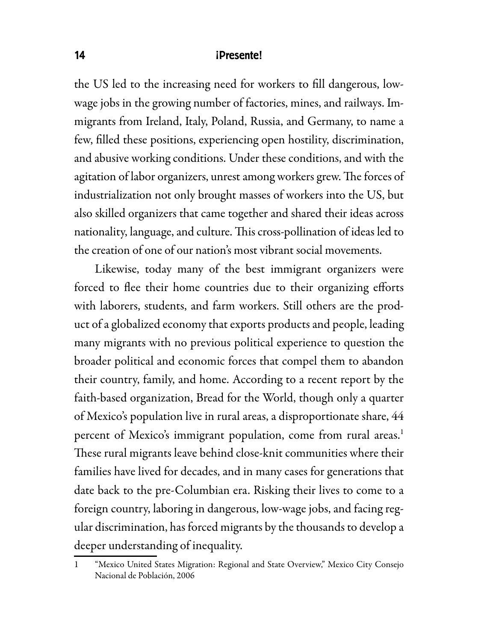#### 14 **iPresente!**

the US led to the increasing need for workers to fill dangerous, lowwage jobs in the growing number of factories, mines, and railways. Immigrants from Ireland, Italy, Poland, Russia, and Germany, to name a few, filled these positions, experiencing open hostility, discrimination, and abusive working conditions. Under these conditions, and with the agitation of labor organizers, unrest among workers grew. The forces of industrialization not only brought masses of workers into the US, but also skilled organizers that came together and shared their ideas across nationality, language, and culture. This cross-pollination of ideas led to the creation of one of our nation's most vibrant social movements.

Likewise, today many of the best immigrant organizers were forced to flee their home countries due to their organizing efforts with laborers, students, and farm workers. Still others are the product of a globalized economy that exports products and people, leading many migrants with no previous political experience to question the broader political and economic forces that compel them to abandon their country, family, and home. According to a recent report by the faith-based organization, Bread for the World, though only a quarter of Mexico's population live in rural areas, a disproportionate share, 44 percent of Mexico's immigrant population, come from rural areas.<sup>1</sup> These rural migrants leave behind close-knit communities where their families have lived for decades, and in many cases for generations that date back to the pre-Columbian era. Risking their lives to come to a foreign country, laboring in dangerous, low-wage jobs, and facing regular discrimination, has forced migrants by the thousands to develop a deeper understanding of inequality.

<sup>&</sup>quot;Mexico United States Migration: Regional and State Overview," Mexico City Consejo Nacional de Población, 2006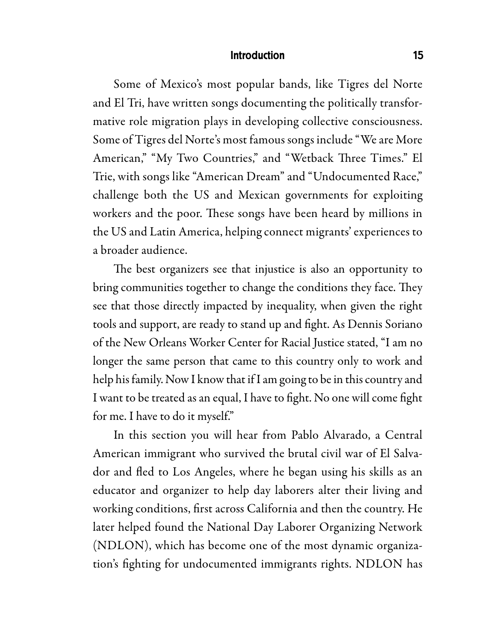#### **Introduction**

Some of Mexico's most popular bands, like Tigres del Norte and El Tri, have written songs documenting the politically transformative role migration plays in developing collective consciousness. Some of Tigres del Norte's most famous songs include "We are More American," "My Two Countries," and "Wetback Three Times." El Trie, with songs like "American Dream" and "Undocumented Race," challenge both the US and Mexican governments for exploiting workers and the poor. These songs have been heard by millions in the US and Latin America, helping connect migrants' experiences to a broader audience.

The best organizers see that injustice is also an opportunity to bring communities together to change the conditions they face. They see that those directly impacted by inequality, when given the right tools and support, are ready to stand up and fight. As Dennis Soriano of the New Orleans Worker Center for Racial Justice stated, "I am no longer the same person that came to this country only to work and help his family. Now I know that if I am going to be in this country and I want to be treated as an equal, I have to fight. No one will come fight for me. I have to do it myself."

In this section you will hear from Pablo Alvarado, a Central American immigrant who survived the brutal civil war of El Salvador and fled to Los Angeles, where he began using his skills as an educator and organizer to help day laborers alter their living and working conditions, first across California and then the country. He later helped found the National Day Laborer Organizing Network (NDLON), which has become one of the most dynamic organization's fighting for undocumented immigrants rights. NDLON has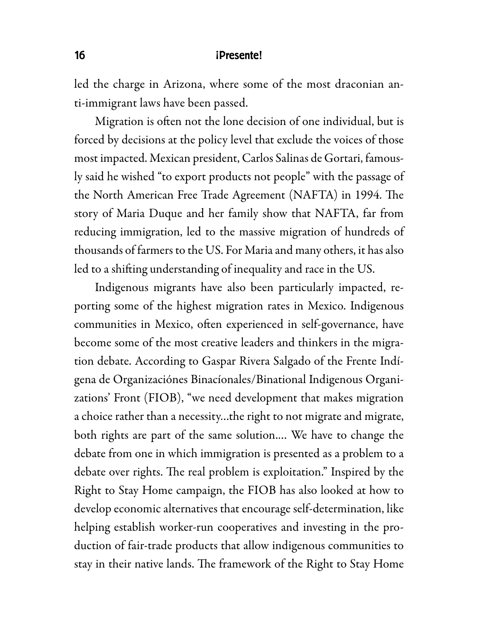#### 16 **iPresente!**

led the charge in Arizona, where some of the most draconian anti-immigrant laws have been passed.

Migration is often not the lone decision of one individual, but is forced by decisions at the policy level that exclude the voices of those most impacted. Mexican president, Carlos Salinas de Gortari, famously said he wished "to export products not people" with the passage of the North American Free Trade Agreement (NAFTA) in 1994. The story of Maria Duque and her family show that NAFTA, far from reducing immigration, led to the massive migration of hundreds of thousands of farmers to the US. For Maria and many others, it has also led to a shifting understanding of inequality and race in the US.

Indigenous migrants have also been particularly impacted, reporting some of the highest migration rates in Mexico. Indigenous communities in Mexico, often experienced in self-governance, have become some of the most creative leaders and thinkers in the migration debate. According to Gaspar Rivera Salgado of the Frente Indígena de Organizaciónes Binacíonales/Binational Indigenous Organizations' Front (FIOB), "we need development that makes migration a choice rather than a necessity…the right to not migrate and migrate, both rights are part of the same solution.… We have to change the debate from one in which immigration is presented as a problem to a debate over rights. The real problem is exploitation." Inspired by the Right to Stay Home campaign, the FIOB has also looked at how to develop economic alternatives that encourage self-determination, like helping establish worker-run cooperatives and investing in the production of fair-trade products that allow indigenous communities to stay in their native lands. The framework of the Right to Stay Home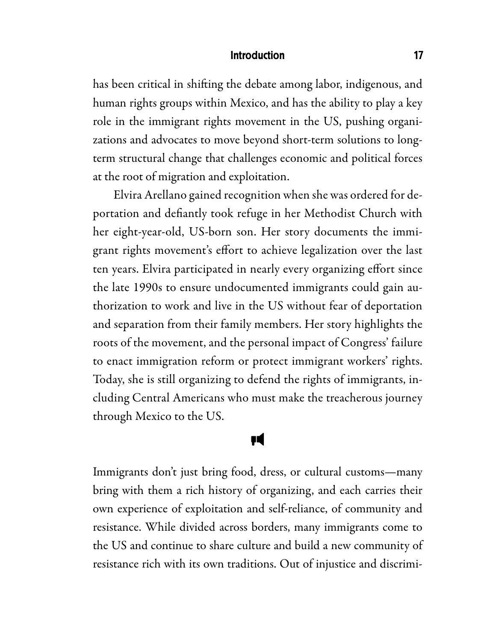#### **introduction** 17

has been critical in shifting the debate among labor, indigenous, and human rights groups within Mexico, and has the ability to play a key role in the immigrant rights movement in the US, pushing organizations and advocates to move beyond short-term solutions to longterm structural change that challenges economic and political forces at the root of migration and exploitation.

Elvira Arellano gained recognition when she was ordered for deportation and defiantly took refuge in her Methodist Church with her eight-year-old, US-born son. Her story documents the immigrant rights movement's effort to achieve legalization over the last ten years. Elvira participated in nearly every organizing effort since the late 1990s to ensure undocumented immigrants could gain authorization to work and live in the US without fear of deportation and separation from their family members. Her story highlights the roots of the movement, and the personal impact of Congress' failure to enact immigration reform or protect immigrant workers' rights. Today, she is still organizing to defend the rights of immigrants, including Central Americans who must make the treacherous journey through Mexico to the US.

### Բ

Immigrants don't just bring food, dress, or cultural customs—many bring with them a rich history of organizing, and each carries their own experience of exploitation and self-reliance, of community and resistance. While divided across borders, many immigrants come to the US and continue to share culture and build a new community of resistance rich with its own traditions. Out of injustice and discrimi-